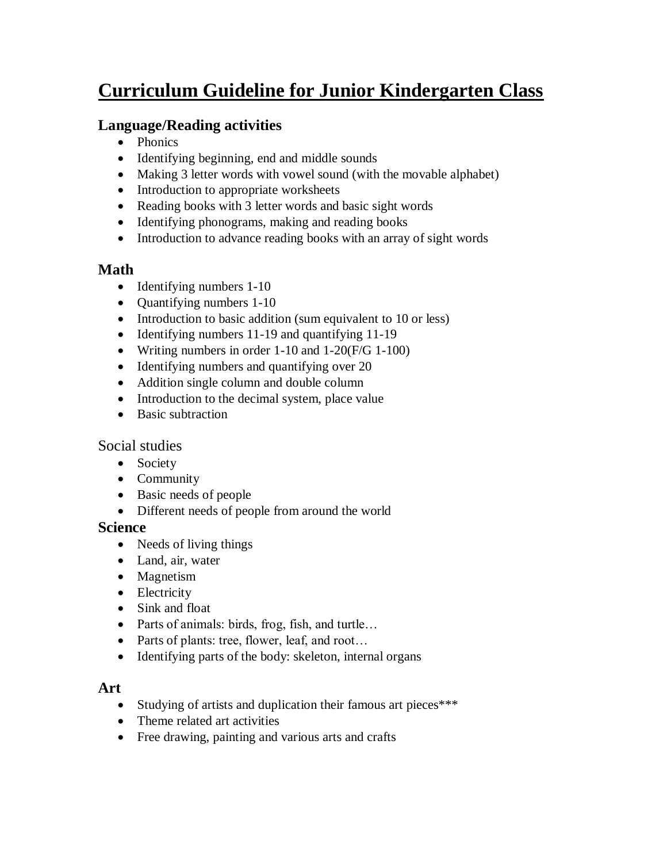# **Curriculum Guideline for Junior Kindergarten Class**

# **Language/Reading activities**

- Phonics
- Identifying beginning, end and middle sounds
- Making 3 letter words with vowel sound (with the movable alphabet)
- Introduction to appropriate worksheets
- Reading books with 3 letter words and basic sight words
- Identifying phonograms, making and reading books
- Introduction to advance reading books with an array of sight words

#### **Math**

- $\bullet$  Identifying numbers 1-10
- Quantifying numbers 1-10
- Introduction to basic addition (sum equivalent to 10 or less)
- Identifying numbers 11-19 and quantifying 11-19
- Writing numbers in order  $1-10$  and  $1-20$  (F/G  $1-100$ )
- Identifying numbers and quantifying over 20
- Addition single column and double column
- Introduction to the decimal system, place value
- Basic subtraction

#### Social studies

- Society
- Community
- Basic needs of people
- Different needs of people from around the world

#### **Science**

- Needs of living things
- Land, air, water
- Magnetism
- Electricity
- Sink and float
- Parts of animals: birds, frog, fish, and turtle...
- Parts of plants: tree, flower, leaf, and root...
- Identifying parts of the body: skeleton, internal organs

#### **Art**

- Studying of artists and duplication their famous art pieces\*\*\*
- Theme related art activities
- Free drawing, painting and various arts and crafts